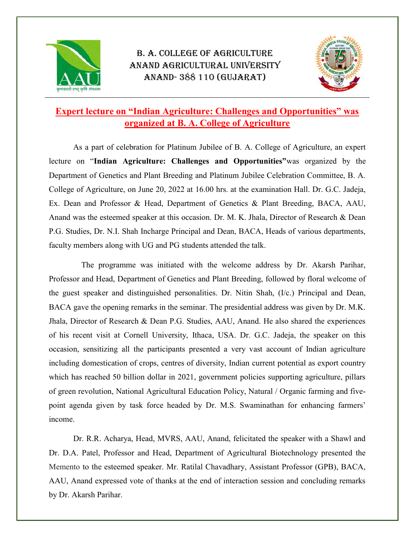

## B. A. COLLEGE OF AGRICULTURE ANAND AGRICULTURAL UNIVERSITY ANAND- 388 110 (GUJARAT)



## Expert lecture on "Indian Agriculture: Challenges and Opportunities" was organized at B. A. College of Agriculture

As a part of celebration for Platinum Jubilee of B. A. College of Agriculture, an expert lecture on "Indian Agriculture: Challenges and Opportunities"was organized by the Department of Genetics and Plant Breeding and Platinum Jubilee Celebration Committee, B. A. College of Agriculture, on June 20, 2022 at 16.00 hrs. at the examination Hall. Dr. G.C. Jadeja, Ex. Dean and Professor & Head, Department of Genetics & Plant Breeding, BACA, AAU, Anand was the esteemed speaker at this occasion. Dr. M. K. Jhala, Director of Research & Dean P.G. Studies, Dr. N.I. Shah Incharge Principal and Dean, BACA, Heads of various departments, faculty members along with UG and PG students attended the talk.

 The programme was initiated with the welcome address by Dr. Akarsh Parihar, Professor and Head, Department of Genetics and Plant Breeding, followed by floral welcome of the guest speaker and distinguished personalities. Dr. Nitin Shah, (I/c.) Principal and Dean, BACA gave the opening remarks in the seminar. The presidential address was given by Dr. M.K. Jhala, Director of Research & Dean P.G. Studies, AAU, Anand. He also shared the experiences of his recent visit at Cornell University, Ithaca, USA. Dr. G.C. Jadeja, the speaker on this occasion, sensitizing all the participants presented a very vast account of Indian agriculture including domestication of crops, centres of diversity, Indian current potential as export country which has reached 50 billion dollar in 2021, government policies supporting agriculture, pillars of green revolution, National Agricultural Education Policy, Natural / Organic farming and fivepoint agenda given by task force headed by Dr. M.S. Swaminathan for enhancing farmers' income.

Dr. R.R. Acharya, Head, MVRS, AAU, Anand, felicitated the speaker with a Shawl and Dr. D.A. Patel, Professor and Head, Department of Agricultural Biotechnology presented the Memento to the esteemed speaker. Mr. Ratilal Chavadhary, Assistant Professor (GPB), BACA, AAU, Anand expressed vote of thanks at the end of interaction session and concluding remarks by Dr. Akarsh Parihar.